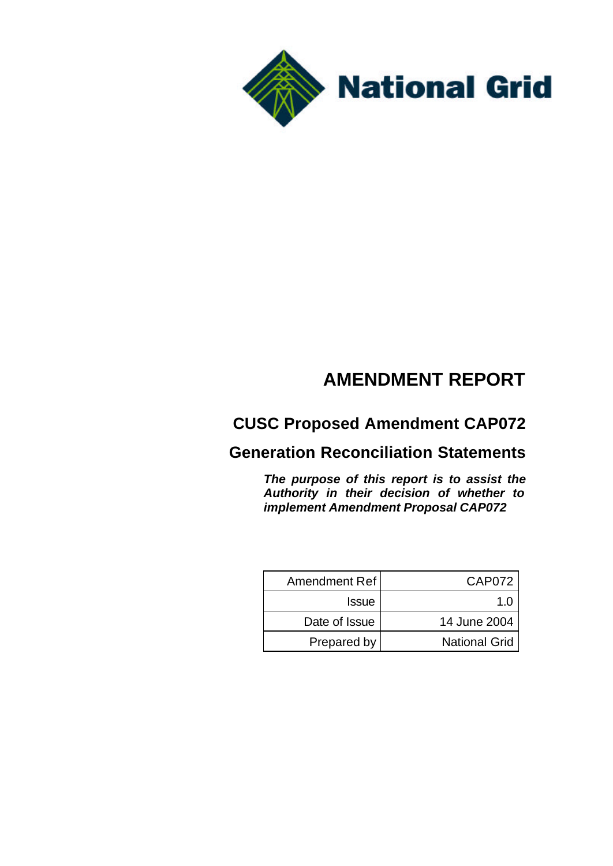

# **AMENDMENT REPORT**

# **CUSC Proposed Amendment CAP072**

## **Generation Reconciliation Statements**

*The purpose of this report is to assist the Authority in their decision of whether to implement Amendment Proposal CAP072*

| Amendment Ref | CAP072               |
|---------------|----------------------|
| <b>Issue</b>  | 1 በ                  |
| Date of Issue | 14 June 2004         |
| Prepared by   | <b>National Grid</b> |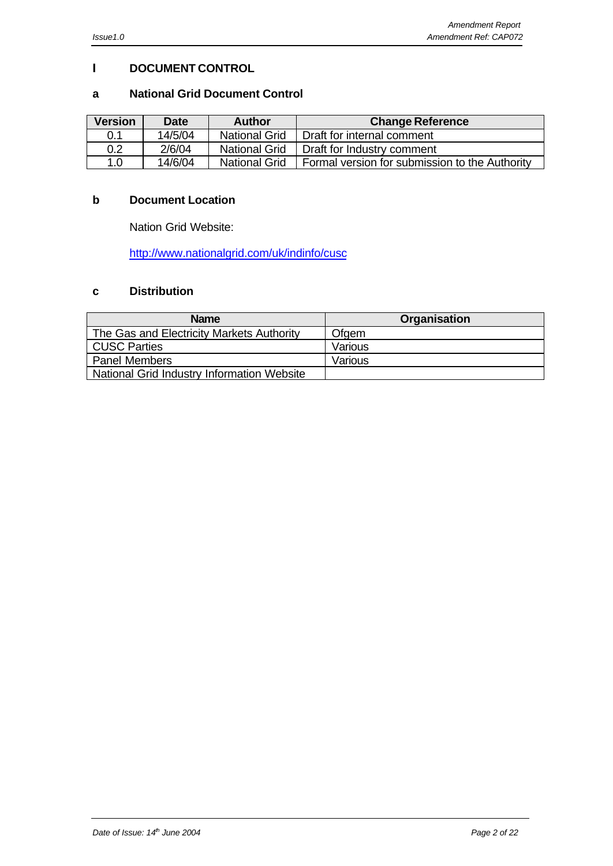#### **I DOCUMENT CONTROL**

#### **a National Grid Document Control**

| <b>Version</b> | <b>Date</b> | <b>Author</b>        | <b>Change Reference</b>                        |
|----------------|-------------|----------------------|------------------------------------------------|
| 0.1            | 14/5/04     | <b>National Grid</b> | Draft for internal comment                     |
| 0.2            | 2/6/04      | <b>National Grid</b> | Draft for Industry comment                     |
| 1.0            | 14/6/04     | <b>National Grid</b> | Formal version for submission to the Authority |

#### **b Document Location**

Nation Grid Website:

http://www.nationalgrid.com/uk/indinfo/cusc

### **c Distribution**

| <b>Name</b>                                | Organisation |
|--------------------------------------------|--------------|
| The Gas and Electricity Markets Authority  | Ofgem        |
| <b>CUSC Parties</b>                        | Various      |
| <b>Panel Members</b>                       | Various      |
| National Grid Industry Information Website |              |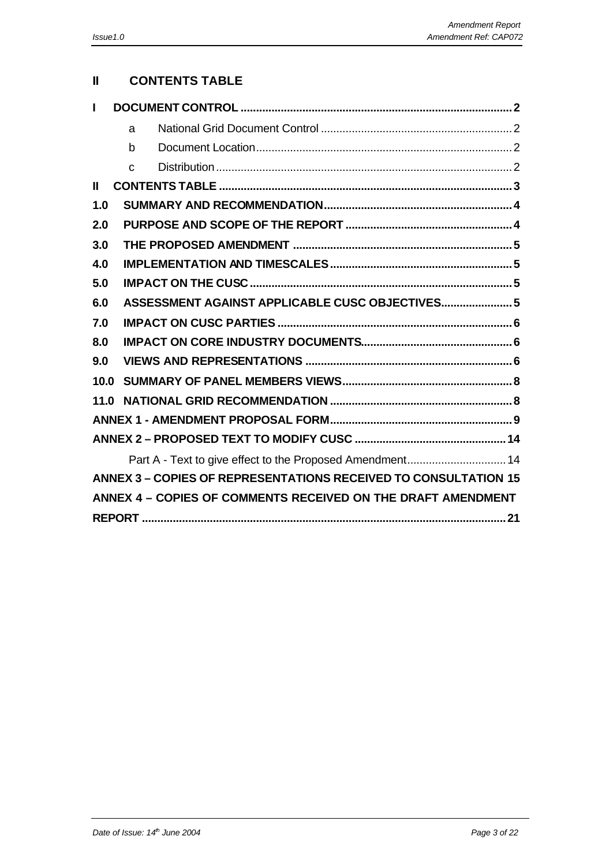## **II CONTENTS TABLE**

| L    |                                                                        |
|------|------------------------------------------------------------------------|
|      | a                                                                      |
|      | b                                                                      |
|      | $\mathbf C$                                                            |
| Ш    |                                                                        |
| 1.0  |                                                                        |
| 2.0  |                                                                        |
| 3.0  |                                                                        |
| 4.0  |                                                                        |
| 5.0  |                                                                        |
| 6.0  | ASSESSMENT AGAINST APPLICABLE CUSC OBJECTIVES 5                        |
| 7.0  |                                                                        |
| 8.0  |                                                                        |
| 9.0  |                                                                        |
| 10.0 |                                                                        |
| 11.0 |                                                                        |
|      |                                                                        |
|      |                                                                        |
|      | Part A - Text to give effect to the Proposed Amendment 14              |
|      | <b>ANNEX 3 - COPIES OF REPRESENTATIONS RECEIVED TO CONSULTATION 15</b> |
|      | ANNEX 4 - COPIES OF COMMENTS RECEIVED ON THE DRAFT AMENDMENT           |
|      |                                                                        |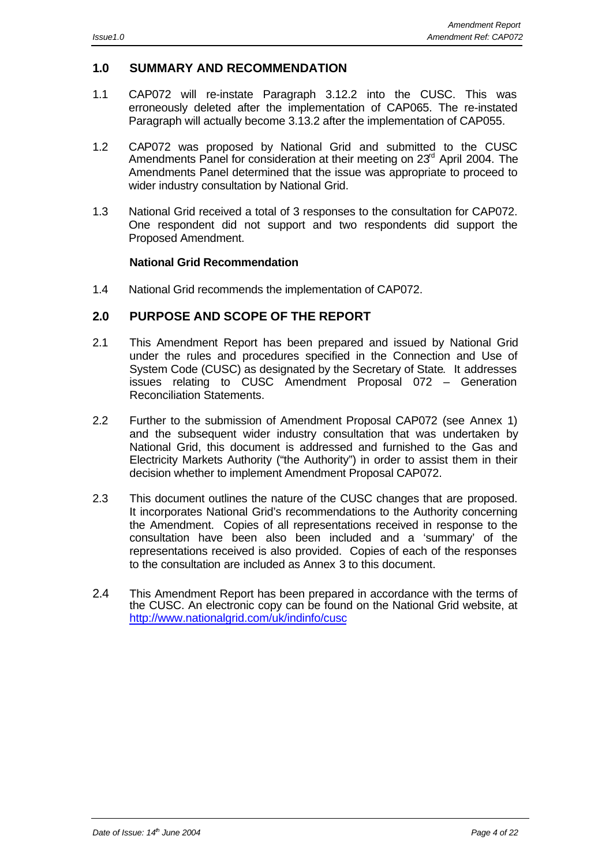#### **1.0 SUMMARY AND RECOMMENDATION**

- 1.1 CAP072 will re-instate Paragraph 3.12.2 into the CUSC. This was erroneously deleted after the implementation of CAP065. The re-instated Paragraph will actually become 3.13.2 after the implementation of CAP055.
- 1.2 CAP072 was proposed by National Grid and submitted to the CUSC Amendments Panel for consideration at their meeting on  $23<sup>rd</sup>$  April 2004. The Amendments Panel determined that the issue was appropriate to proceed to wider industry consultation by National Grid.
- 1.3 National Grid received a total of 3 responses to the consultation for CAP072. One respondent did not support and two respondents did support the Proposed Amendment.

#### **National Grid Recommendation**

1.4 National Grid recommends the implementation of CAP072.

#### **2.0 PURPOSE AND SCOPE OF THE REPORT**

- 2.1 This Amendment Report has been prepared and issued by National Grid under the rules and procedures specified in the Connection and Use of System Code (CUSC) as designated by the Secretary of State. It addresses issues relating to CUSC Amendment Proposal 072 – Generation Reconciliation Statements.
- 2.2 Further to the submission of Amendment Proposal CAP072 (see Annex 1) and the subsequent wider industry consultation that was undertaken by National Grid, this document is addressed and furnished to the Gas and Electricity Markets Authority ("the Authority") in order to assist them in their decision whether to implement Amendment Proposal CAP072.
- 2.3 This document outlines the nature of the CUSC changes that are proposed. It incorporates National Grid's recommendations to the Authority concerning the Amendment. Copies of all representations received in response to the consultation have been also been included and a 'summary' of the representations received is also provided. Copies of each of the responses to the consultation are included as Annex 3 to this document.
- 2.4 This Amendment Report has been prepared in accordance with the terms of the CUSC. An electronic copy can be found on the National Grid website, at http://www.nationalgrid.com/uk/indinfo/cusc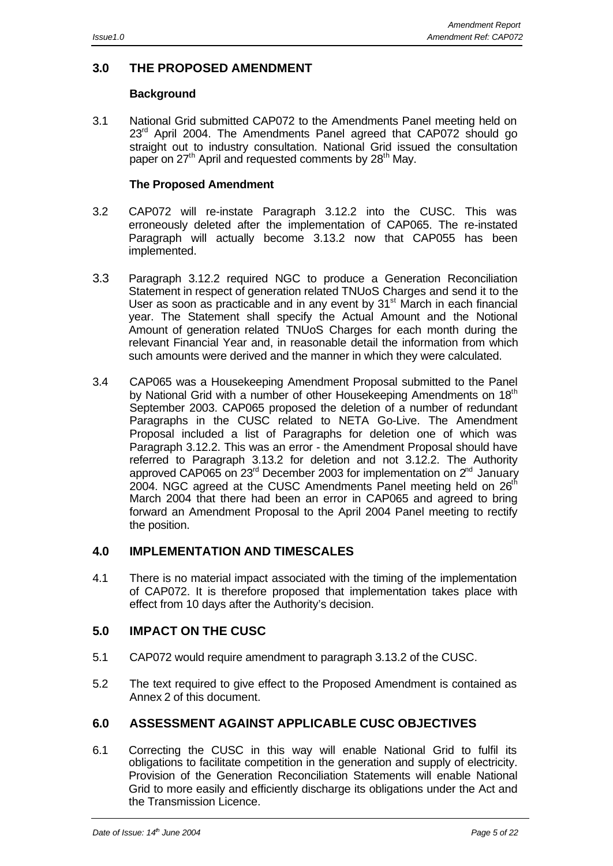#### **3.0 THE PROPOSED AMENDMENT**

#### **Background**

3.1 National Grid submitted CAP072 to the Amendments Panel meeting held on 23<sup>rd</sup> April 2004. The Amendments Panel agreed that CAP072 should go straight out to industry consultation. National Grid issued the consultation paper on 27<sup>th</sup> April and requested comments by 28<sup>th</sup> May.

#### **The Proposed Amendment**

- 3.2 CAP072 will re-instate Paragraph 3.12.2 into the CUSC. This was erroneously deleted after the implementation of CAP065. The re-instated Paragraph will actually become 3.13.2 now that CAP055 has been implemented.
- 3.3 Paragraph 3.12.2 required NGC to produce a Generation Reconciliation Statement in respect of generation related TNUoS Charges and send it to the User as soon as practicable and in any event by  $31<sup>st</sup>$  March in each financial year. The Statement shall specify the Actual Amount and the Notional Amount of generation related TNUoS Charges for each month during the relevant Financial Year and, in reasonable detail the information from which such amounts were derived and the manner in which they were calculated.
- 3.4 CAP065 was a Housekeeping Amendment Proposal submitted to the Panel by National Grid with a number of other Housekeeping Amendments on 18<sup>th</sup> September 2003. CAP065 proposed the deletion of a number of redundant Paragraphs in the CUSC related to NETA Go-Live. The Amendment Proposal included a list of Paragraphs for deletion one of which was Paragraph 3.12.2. This was an error - the Amendment Proposal should have referred to Paragraph 3.13.2 for deletion and not 3.12.2. The Authority approved CAP065 on  $23^{\text{rd}}$  December 2003 for implementation on  $2^{\text{nd}}$  January 2004. NGC agreed at the CUSC Amendments Panel meeting held on  $26<sup>th</sup>$ March 2004 that there had been an error in CAP065 and agreed to bring forward an Amendment Proposal to the April 2004 Panel meeting to rectify the position.

#### **4.0 IMPLEMENTATION AND TIMESCALES**

4.1 There is no material impact associated with the timing of the implementation of CAP072. It is therefore proposed that implementation takes place with effect from 10 days after the Authority's decision.

#### **5.0 IMPACT ON THE CUSC**

- 5.1 CAP072 would require amendment to paragraph 3.13.2 of the CUSC.
- 5.2 The text required to give effect to the Proposed Amendment is contained as Annex 2 of this document.

#### **6.0 ASSESSMENT AGAINST APPLICABLE CUSC OBJECTIVES**

6.1 Correcting the CUSC in this way will enable National Grid to fulfil its obligations to facilitate competition in the generation and supply of electricity. Provision of the Generation Reconciliation Statements will enable National Grid to more easily and efficiently discharge its obligations under the Act and the Transmission Licence.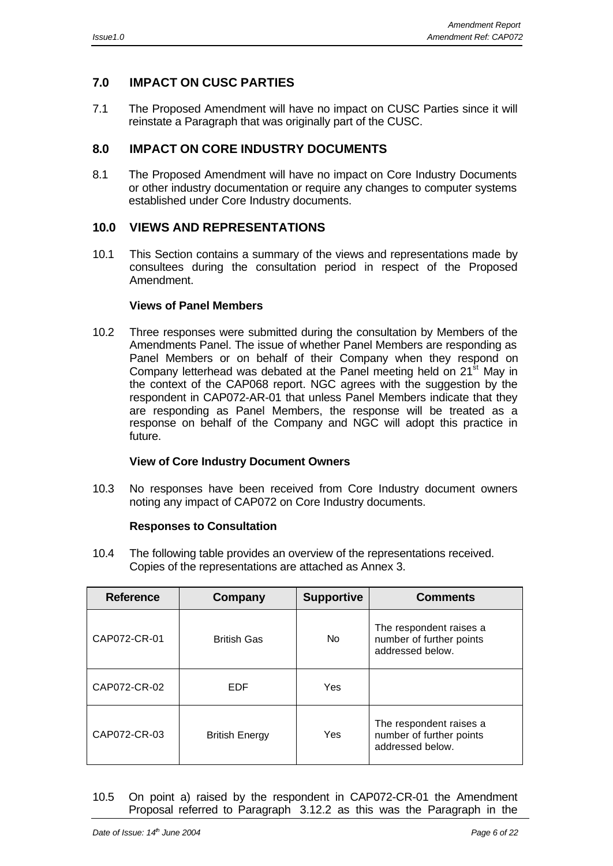### **7.0 IMPACT ON CUSC PARTIES**

7.1 The Proposed Amendment will have no impact on CUSC Parties since it will reinstate a Paragraph that was originally part of the CUSC.

#### **8.0 IMPACT ON CORE INDUSTRY DOCUMENTS**

8.1 The Proposed Amendment will have no impact on Core Industry Documents or other industry documentation or require any changes to computer systems established under Core Industry documents.

#### **10.0 VIEWS AND REPRESENTATIONS**

10.1 This Section contains a summary of the views and representations made by consultees during the consultation period in respect of the Proposed Amendment.

#### **Views of Panel Members**

10.2 Three responses were submitted during the consultation by Members of the Amendments Panel. The issue of whether Panel Members are responding as Panel Members or on behalf of their Company when they respond on Company letterhead was debated at the Panel meeting held on  $21<sup>st</sup>$  May in the context of the CAP068 report. NGC agrees with the suggestion by the respondent in CAP072-AR-01 that unless Panel Members indicate that they are responding as Panel Members, the response will be treated as a response on behalf of the Company and NGC will adopt this practice in future.

#### **View of Core Industry Document Owners**

10.3 No responses have been received from Core Industry document owners noting any impact of CAP072 on Core Industry documents.

#### **Responses to Consultation**

10.4 The following table provides an overview of the representations received. Copies of the representations are attached as Annex 3.

| <b>Reference</b> | Company               | <b>Supportive</b> | <b>Comments</b>                                                         |
|------------------|-----------------------|-------------------|-------------------------------------------------------------------------|
| CAP072-CR-01     | <b>British Gas</b>    | No.               | The respondent raises a<br>number of further points<br>addressed below. |
| CAP072-CR-02     | <b>EDF</b>            | Yes               |                                                                         |
| CAP072-CR-03     | <b>British Energy</b> | Yes               | The respondent raises a<br>number of further points<br>addressed below. |

10.5 On point a) raised by the respondent in CAP072-CR-01 the Amendment Proposal referred to Paragraph 3.12.2 as this was the Paragraph in the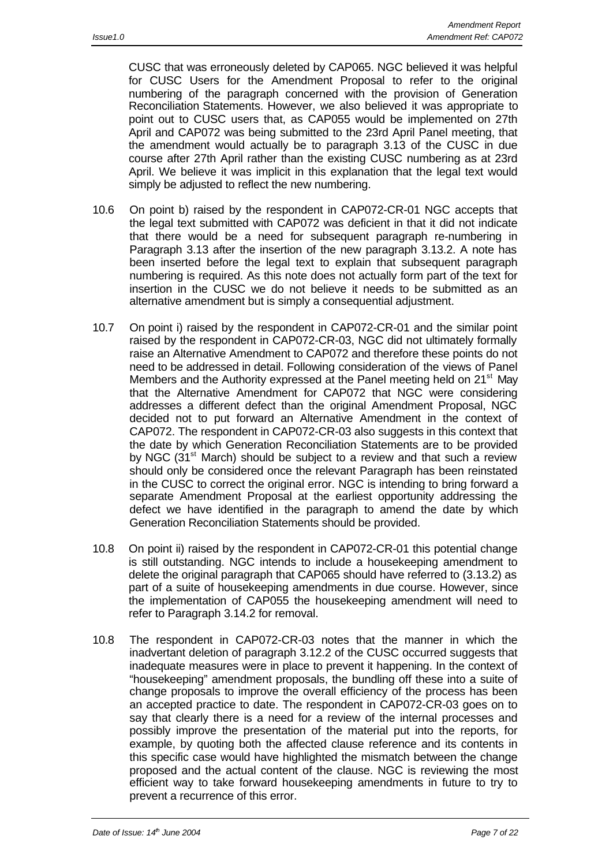CUSC that was erroneously deleted by CAP065. NGC believed it was helpful for CUSC Users for the Amendment Proposal to refer to the original numbering of the paragraph concerned with the provision of Generation Reconciliation Statements. However, we also believed it was appropriate to point out to CUSC users that, as CAP055 would be implemented on 27th April and CAP072 was being submitted to the 23rd April Panel meeting, that the amendment would actually be to paragraph 3.13 of the CUSC in due course after 27th April rather than the existing CUSC numbering as at 23rd April. We believe it was implicit in this explanation that the legal text would simply be adjusted to reflect the new numbering.

- 10.6 On point b) raised by the respondent in CAP072-CR-01 NGC accepts that the legal text submitted with CAP072 was deficient in that it did not indicate that there would be a need for subsequent paragraph re-numbering in Paragraph 3.13 after the insertion of the new paragraph 3.13.2. A note has been inserted before the legal text to explain that subsequent paragraph numbering is required. As this note does not actually form part of the text for insertion in the CUSC we do not believe it needs to be submitted as an alternative amendment but is simply a consequential adjustment.
- 10.7 On point i) raised by the respondent in CAP072-CR-01 and the similar point raised by the respondent in CAP072-CR-03, NGC did not ultimately formally raise an Alternative Amendment to CAP072 and therefore these points do not need to be addressed in detail. Following consideration of the views of Panel Members and the Authority expressed at the Panel meeting held on 21<sup>st</sup> May that the Alternative Amendment for CAP072 that NGC were considering addresses a different defect than the original Amendment Proposal, NGC decided not to put forward an Alternative Amendment in the context of CAP072. The respondent in CAP072-CR-03 also suggests in this context that the date by which Generation Reconciliation Statements are to be provided by NGC (31<sup>st</sup> March) should be subject to a review and that such a review should only be considered once the relevant Paragraph has been reinstated in the CUSC to correct the original error. NGC is intending to bring forward a separate Amendment Proposal at the earliest opportunity addressing the defect we have identified in the paragraph to amend the date by which Generation Reconciliation Statements should be provided.
- 10.8 On point ii) raised by the respondent in CAP072-CR-01 this potential change is still outstanding. NGC intends to include a housekeeping amendment to delete the original paragraph that CAP065 should have referred to (3.13.2) as part of a suite of housekeeping amendments in due course. However, since the implementation of CAP055 the housekeeping amendment will need to refer to Paragraph 3.14.2 for removal.
- 10.8 The respondent in CAP072-CR-03 notes that the manner in which the inadvertant deletion of paragraph 3.12.2 of the CUSC occurred suggests that inadequate measures were in place to prevent it happening. In the context of "housekeeping" amendment proposals, the bundling off these into a suite of change proposals to improve the overall efficiency of the process has been an accepted practice to date. The respondent in CAP072-CR-03 goes on to say that clearly there is a need for a review of the internal processes and possibly improve the presentation of the material put into the reports, for example, by quoting both the affected clause reference and its contents in this specific case would have highlighted the mismatch between the change proposed and the actual content of the clause. NGC is reviewing the most efficient way to take forward housekeeping amendments in future to try to prevent a recurrence of this error.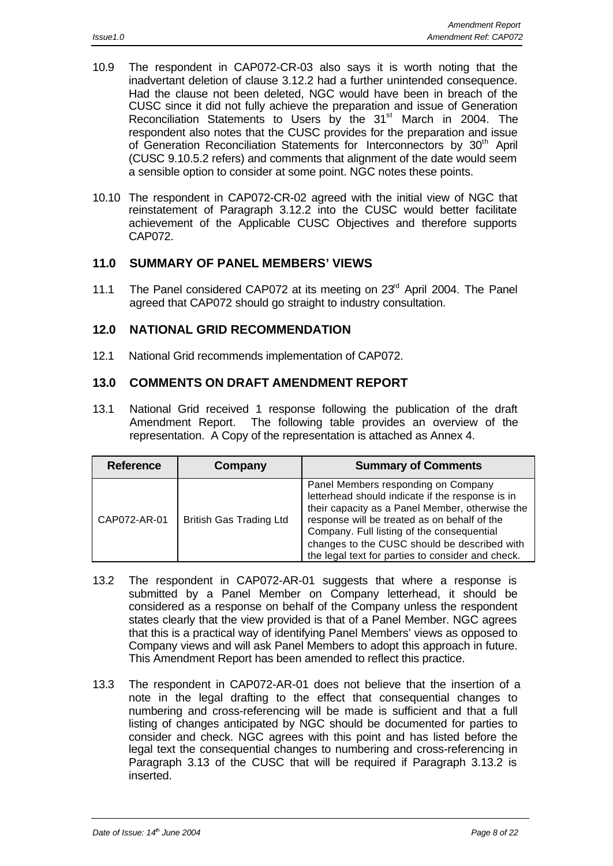- 10.9 The respondent in CAP072-CR-03 also says it is worth noting that the inadvertant deletion of clause 3.12.2 had a further unintended consequence. Had the clause not been deleted, NGC would have been in breach of the CUSC since it did not fully achieve the preparation and issue of Generation Reconciliation Statements to Users by the 31<sup>st</sup> March in 2004. The respondent also notes that the CUSC provides for the preparation and issue of Generation Reconciliation Statements for Interconnectors by 30<sup>th</sup> April (CUSC 9.10.5.2 refers) and comments that alignment of the date would seem a sensible option to consider at some point. NGC notes these points.
- 10.10 The respondent in CAP072-CR-02 agreed with the initial view of NGC that reinstatement of Paragraph 3.12.2 into the CUSC would better facilitate achievement of the Applicable CUSC Objectives and therefore supports CAP072.

#### **11.0 SUMMARY OF PANEL MEMBERS' VIEWS**

11.1 The Panel considered CAP072 at its meeting on 23<sup>rd</sup> April 2004. The Panel agreed that CAP072 should go straight to industry consultation.

#### **12.0 NATIONAL GRID RECOMMENDATION**

12.1 National Grid recommends implementation of CAP072.

#### **13.0 COMMENTS ON DRAFT AMENDMENT REPORT**

13.1 National Grid received 1 response following the publication of the draft Amendment Report. The following table provides an overview of the representation. A Copy of the representation is attached as Annex 4.

| <b>Reference</b> | Company                        | <b>Summary of Comments</b>                                                                                                                                                                                                                                                                                                                    |
|------------------|--------------------------------|-----------------------------------------------------------------------------------------------------------------------------------------------------------------------------------------------------------------------------------------------------------------------------------------------------------------------------------------------|
| CAP072-AR-01     | <b>British Gas Trading Ltd</b> | Panel Members responding on Company<br>letterhead should indicate if the response is in<br>their capacity as a Panel Member, otherwise the<br>response will be treated as on behalf of the<br>Company. Full listing of the consequential<br>changes to the CUSC should be described with<br>the legal text for parties to consider and check. |

- 13.2 The respondent in CAP072-AR-01 suggests that where a response is submitted by a Panel Member on Company letterhead, it should be considered as a response on behalf of the Company unless the respondent states clearly that the view provided is that of a Panel Member. NGC agrees that this is a practical way of identifying Panel Members' views as opposed to Company views and will ask Panel Members to adopt this approach in future. This Amendment Report has been amended to reflect this practice.
- 13.3 The respondent in CAP072-AR-01 does not believe that the insertion of a note in the legal drafting to the effect that consequential changes to numbering and cross-referencing will be made is sufficient and that a full listing of changes anticipated by NGC should be documented for parties to consider and check. NGC agrees with this point and has listed before the legal text the consequential changes to numbering and cross-referencing in Paragraph 3.13 of the CUSC that will be required if Paragraph 3.13.2 is inserted.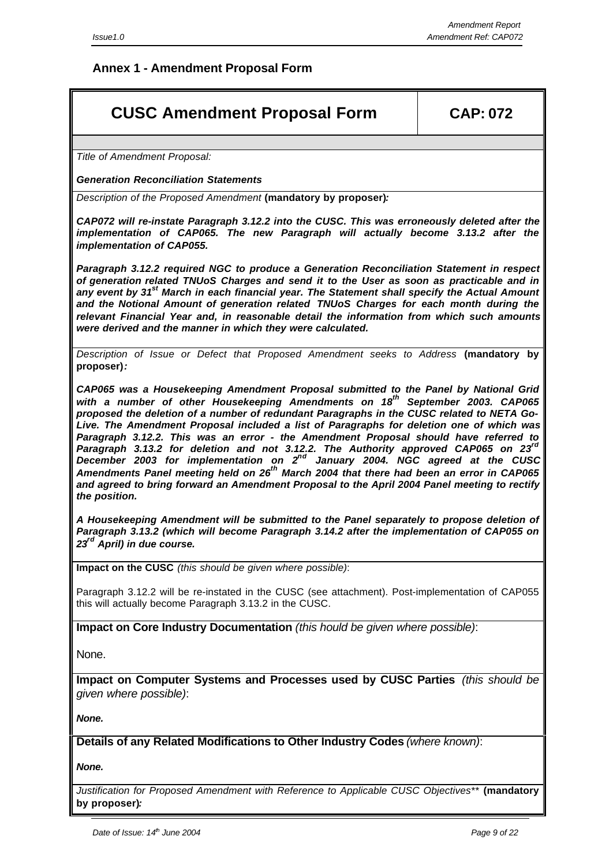## **Annex 1 - Amendment Proposal Form**

# **CUSC Amendment Proposal Form CAP: 072**

*Title of Amendment Proposal:*

*Generation Reconciliation Statements*

*Description of the Proposed Amendment* **(mandatory by proposer)***:*

*CAP072 will re-instate Paragraph 3.12.2 into the CUSC. This was erroneously deleted after the implementation of CAP065. The new Paragraph will actually become 3.13.2 after the implementation of CAP055.*

*Paragraph 3.12.2 required NGC to produce a Generation Reconciliation Statement in respect of generation related TNUoS Charges and send it to the User as soon as practicable and in any event by 31st March in each financial year. The Statement shall specify the Actual Amount and the Notional Amount of generation related TNUoS Charges for each month during the relevant Financial Year and, in reasonable detail the information from which such amounts were derived and the manner in which they were calculated.*

*Description of Issue or Defect that Proposed Amendment seeks to Address* **(mandatory by proposer)***:*

*CAP065 was a Housekeeping Amendment Proposal submitted to the Panel by National Grid with a number of other Housekeeping Amendments on 18th September 2003. CAP065 proposed the deletion of a number of redundant Paragraphs in the CUSC related to NETA Go-Live. The Amendment Proposal included a list of Paragraphs for deletion one of which was Paragraph 3.12.2. This was an error - the Amendment Proposal should have referred to Paragraph 3.13.2 for deletion and not 3.12.2. The Authority approved CAP065 on 23rd* December 2003 for implementation on 2<sup>nd</sup> January 2004. NGC agreed at the CUSC *Amendments Panel meeting held on 26th March 2004 that there had been an error in CAP065 and agreed to bring forward an Amendment Proposal to the April 2004 Panel meeting to rectify the position.*

*A Housekeeping Amendment will be submitted to the Panel separately to propose deletion of Paragraph 3.13.2 (which will become Paragraph 3.14.2 after the implementation of CAP055 on 23rd April) in due course.*

**Impact on the CUSC** *(this should be given where possible)*:

Paragraph 3.12.2 will be re-instated in the CUSC (see attachment). Post-implementation of CAP055 this will actually become Paragraph 3.13.2 in the CUSC.

**Impact on Core Industry Documentation** *(this hould be given where possible)*:

None.

**Impact on Computer Systems and Processes used by CUSC Parties** *(this should be given where possible)*:

*None.*

**Details of any Related Modifications to Other Industry Codes** *(where known)*:

*None.*

*Justification for Proposed Amendment with Reference to Applicable CUSC Objectives\*\** **(mandatory by proposer)***:*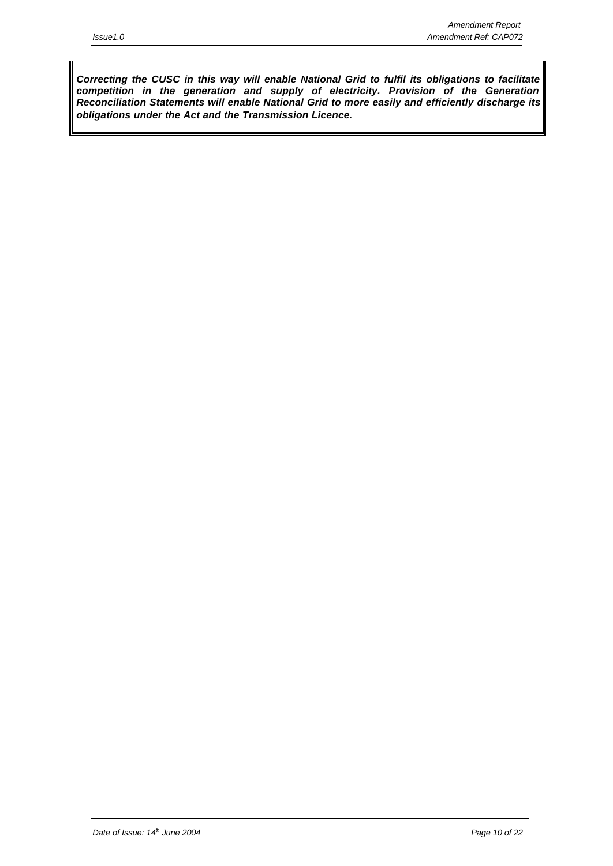*Correcting the CUSC in this way will enable National Grid to fulfil its obligations to facilitate competition in the generation and supply of electricity. Provision of the Generation Reconciliation Statements will enable National Grid to more easily and efficiently discharge its obligations under the Act and the Transmission Licence.*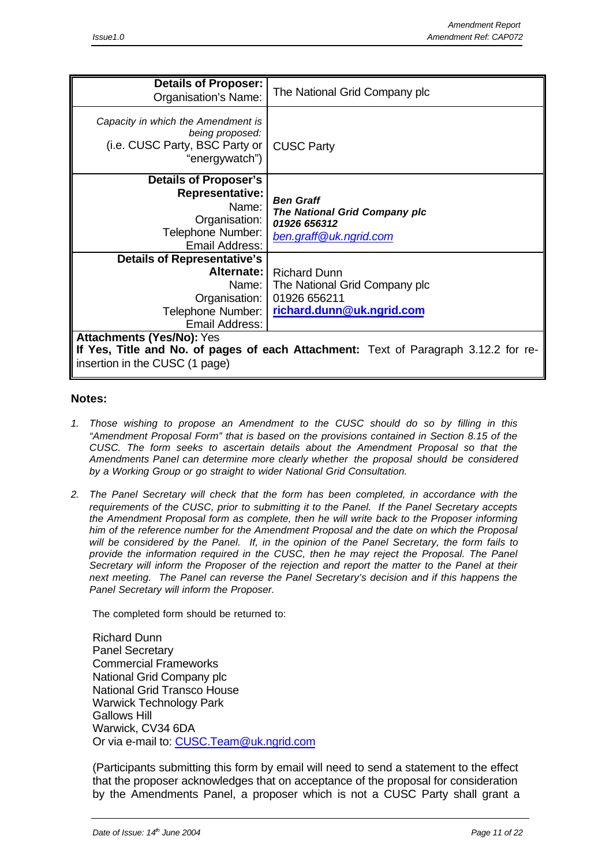| <b>Details of Proposer:</b><br>Organisation's Name:                                                       | The National Grid Company plc                                                                      |
|-----------------------------------------------------------------------------------------------------------|----------------------------------------------------------------------------------------------------|
| Capacity in which the Amendment is<br>being proposed:<br>(i.e. CUSC Party, BSC Party or<br>"energywatch") | <b>CUSC Party</b>                                                                                  |
| <b>Details of Proposer's</b>                                                                              |                                                                                                    |
| <b>Representative:</b><br>Name:<br>Organisation:<br>Telephone Number:<br>Email Address:                   | <b>Ben Graff</b><br><b>The National Grid Company plc</b><br>01926 656312<br>ben.graff@uk.ngrid.com |
| <b>Details of Representative's</b>                                                                        |                                                                                                    |
| Alternate:                                                                                                | <b>Richard Dunn</b>                                                                                |
| Name: I                                                                                                   | The National Grid Company plc                                                                      |
| Organisation:                                                                                             | 01926 656211                                                                                       |
| Telephone Number:                                                                                         | richard.dunn@uk.ngrid.com                                                                          |
| Email Address:                                                                                            |                                                                                                    |
| <b>Attachments (Yes/No): Yes</b>                                                                          |                                                                                                    |
|                                                                                                           | If Yes, Title and No. of pages of each Attachment: Text of Paragraph 3.12.2 for re-                |
| insertion in the CUSC (1 page)                                                                            |                                                                                                    |

#### **Notes:**

- *1. Those wishing to propose an Amendment to the CUSC should do so by filling in this "Amendment Proposal Form" that is based on the provisions contained in Section 8.15 of the CUSC. The form seeks to ascertain details about the Amendment Proposal so that the Amendments Panel can determine more clearly whether the proposal should be considered by a Working Group or go straight to wider National Grid Consultation.*
- *2. The Panel Secretary will check that the form has been completed, in accordance with the requirements of the CUSC, prior to submitting it to the Panel. If the Panel Secretary accepts the Amendment Proposal form as complete, then he will write back to the Proposer informing him of the reference number for the Amendment Proposal and the date on which the Proposal will be considered by the Panel. If, in the opinion of the Panel Secretary, the form fails to provide the information required in the CUSC, then he may reject the Proposal. The Panel Secretary will inform the Proposer of the rejection and report the matter to the Panel at their next meeting. The Panel can reverse the Panel Secretary's decision and if this happens the Panel Secretary will inform the Proposer.*

The completed form should be returned to:

Richard Dunn Panel Secretary Commercial Frameworks National Grid Company plc National Grid Transco House Warwick Technology Park Gallows Hill Warwick, CV34 6DA Or via e-mail to: CUSC.Team@uk.ngrid.com

(Participants submitting this form by email will need to send a statement to the effect that the proposer acknowledges that on acceptance of the proposal for consideration by the Amendments Panel, a proposer which is not a CUSC Party shall grant a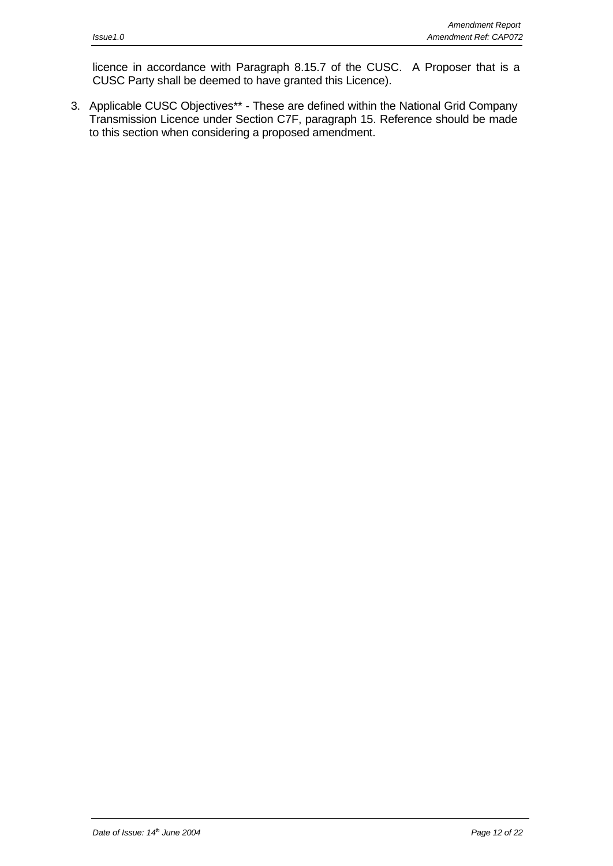licence in accordance with Paragraph 8.15.7 of the CUSC. A Proposer that is a CUSC Party shall be deemed to have granted this Licence).

3. Applicable CUSC Objectives\*\* - These are defined within the National Grid Company Transmission Licence under Section C7F, paragraph 15. Reference should be made to this section when considering a proposed amendment.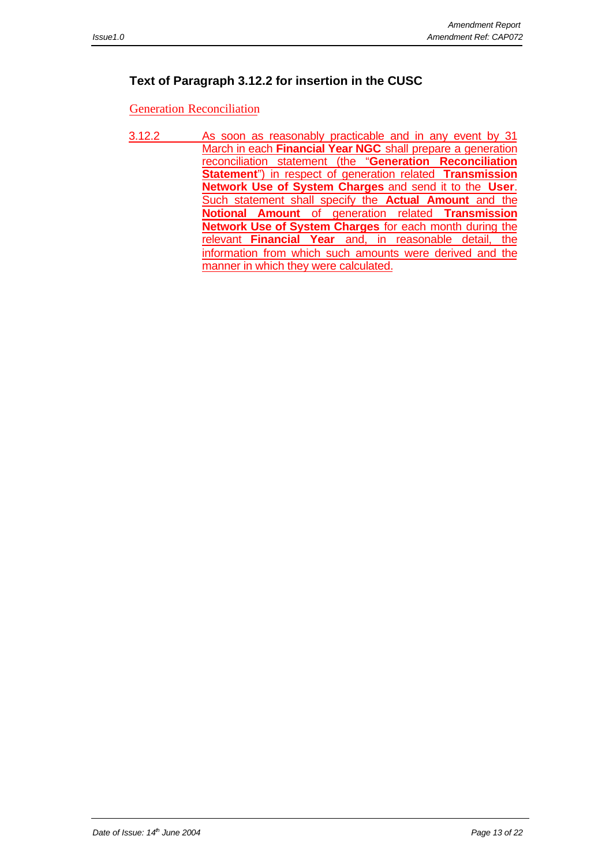## **Text of Paragraph 3.12.2 for insertion in the CUSC**

Generation Reconciliation

3.12.2 As soon as reasonably practicable and in any event by 31 March in each **Financial Year NGC** shall prepare a generation reconciliation statement (the "**Generation Reconciliation Statement**") in respect of generation related **Transmission Network Use of System Charges** and send it to the **User**. Such statement shall specify the **Actual Amount** and the **Notional Amount** of generation related **Transmission Network Use of System Charges** for each month during the relevant **Financial Year** and, in reasonable detail, the information from which such amounts were derived and the manner in which they were calculated.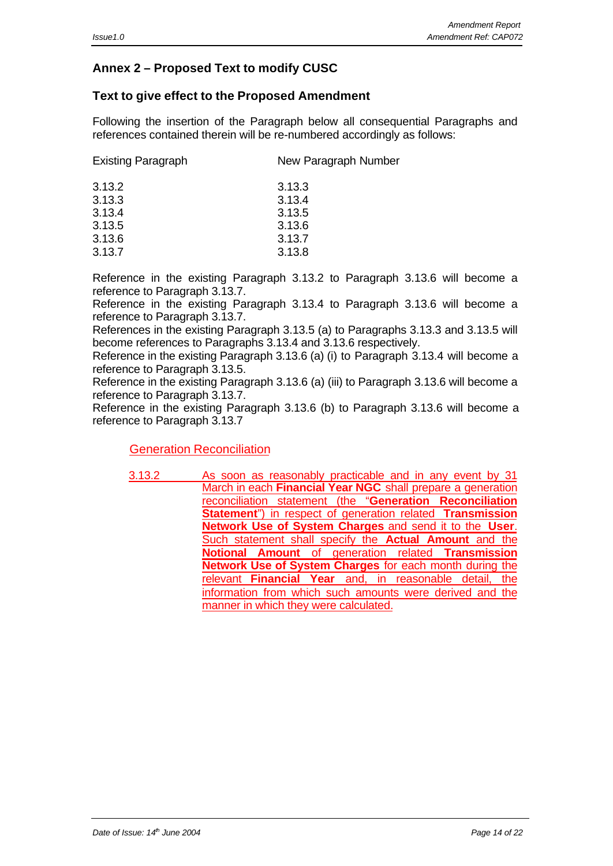## **Annex 2 – Proposed Text to modify CUSC**

#### **Text to give effect to the Proposed Amendment**

Following the insertion of the Paragraph below all consequential Paragraphs and references contained therein will be re-numbered accordingly as follows:

| <b>Existing Paragraph</b> | New Paragraph Number |
|---------------------------|----------------------|
| 3.13.2                    | 3.13.3               |
| 3.13.3                    | 3.13.4               |
| 3.13.4                    | 3.13.5               |
| 3.13.5                    | 3.13.6               |
| 3.13.6                    | 3.13.7               |
| 3.13.7                    | 3.13.8               |
|                           |                      |

Reference in the existing Paragraph 3.13.2 to Paragraph 3.13.6 will become a reference to Paragraph 3.13.7.

Reference in the existing Paragraph 3.13.4 to Paragraph 3.13.6 will become a reference to Paragraph 3.13.7.

References in the existing Paragraph 3.13.5 (a) to Paragraphs 3.13.3 and 3.13.5 will become references to Paragraphs 3.13.4 and 3.13.6 respectively.

Reference in the existing Paragraph 3.13.6 (a) (i) to Paragraph 3.13.4 will become a reference to Paragraph 3.13.5.

Reference in the existing Paragraph 3.13.6 (a) (iii) to Paragraph 3.13.6 will become a reference to Paragraph 3.13.7.

Reference in the existing Paragraph 3.13.6 (b) to Paragraph 3.13.6 will become a reference to Paragraph 3.13.7

#### Generation Reconciliation

3.13.2 As soon as reasonably practicable and in any event by 31 March in each **Financial Year NGC** shall prepare a generation reconciliation statement (the "**Generation Reconciliation Statement**") in respect of generation related **Transmission Network Use of System Charges** and send it to the **User**. Such statement shall specify the **Actual Amount** and the **Notional Amount** of generation related **Transmission Network Use of System Charges** for each month during the relevant **Financial Year** and, in reasonable detail, the information from which such amounts were derived and the manner in which they were calculated.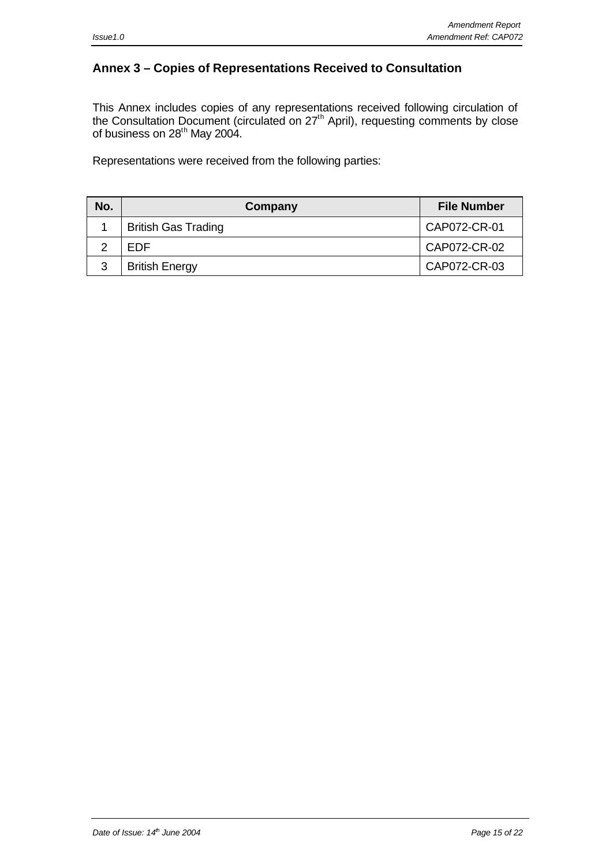## **Annex 3 – Copies of Representations Received to Consultation**

This Annex includes copies of any representations received following circulation of the Consultation Document (circulated on 27<sup>th</sup> April), requesting comments by close of business on 28<sup>th</sup> May 2004.

Representations were received from the following parties:

| No. | Company                    | <b>File Number</b> |
|-----|----------------------------|--------------------|
|     | <b>British Gas Trading</b> | CAP072-CR-01       |
|     | FDF                        | CAP072-CR-02       |
| 3   | <b>British Energy</b>      | CAP072-CR-03       |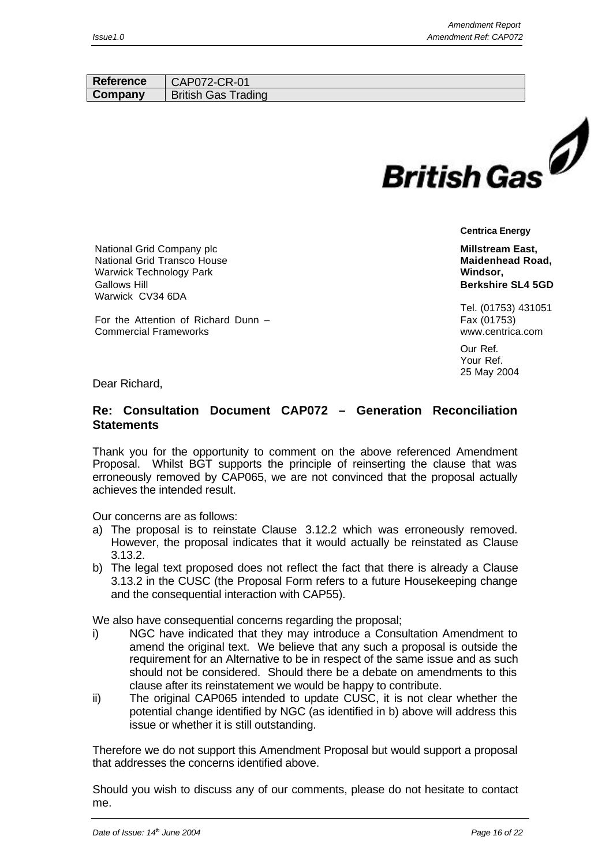| Reference | CAP072-CR-01               |                    |  |
|-----------|----------------------------|--------------------|--|
| Company   | <b>British Gas Trading</b> |                    |  |
|           |                            |                    |  |
|           |                            |                    |  |
|           |                            |                    |  |
|           |                            |                    |  |
|           |                            |                    |  |
|           |                            |                    |  |
|           |                            | <b>British Gas</b> |  |
|           |                            |                    |  |

**Centrica Energy**

**Millstream East, Maidenhead Road, Windsor, Berkshire SL4 5GD**

Tel. (01753) 431051 Fax (01753) www.centrica.com

Our Ref. Your Ref. 25 May 2004

Dear Richard,

Gallows Hill

Warwick CV34 6DA

Commercial Frameworks

National Grid Company plc National Grid Transco House Warwick Technology Park

For the Attention of Richard Dunn –

#### **Re: Consultation Document CAP072 – Generation Reconciliation Statements**

Thank you for the opportunity to comment on the above referenced Amendment Proposal. Whilst BGT supports the principle of reinserting the clause that was erroneously removed by CAP065, we are not convinced that the proposal actually achieves the intended result.

Our concerns are as follows:

- a) The proposal is to reinstate Clause 3.12.2 which was erroneously removed. However, the proposal indicates that it would actually be reinstated as Clause 3.13.2.
- b) The legal text proposed does not reflect the fact that there is already a Clause 3.13.2 in the CUSC (the Proposal Form refers to a future Housekeeping change and the consequential interaction with CAP55).

We also have consequential concerns regarding the proposal;

- i) NGC have indicated that they may introduce a Consultation Amendment to amend the original text. We believe that any such a proposal is outside the requirement for an Alternative to be in respect of the same issue and as such should not be considered. Should there be a debate on amendments to this clause after its reinstatement we would be happy to contribute.
- ii) The original CAP065 intended to update CUSC, it is not clear whether the potential change identified by NGC (as identified in b) above will address this issue or whether it is still outstanding.

Therefore we do not support this Amendment Proposal but would support a proposal that addresses the concerns identified above.

Should you wish to discuss any of our comments, please do not hesitate to contact me.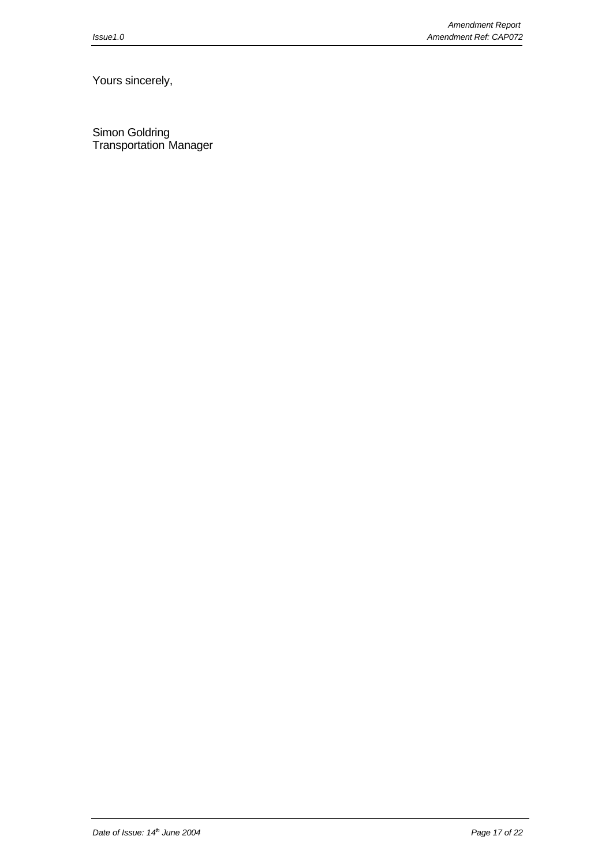Yours sincerely,

Simon Goldring Transportation Manager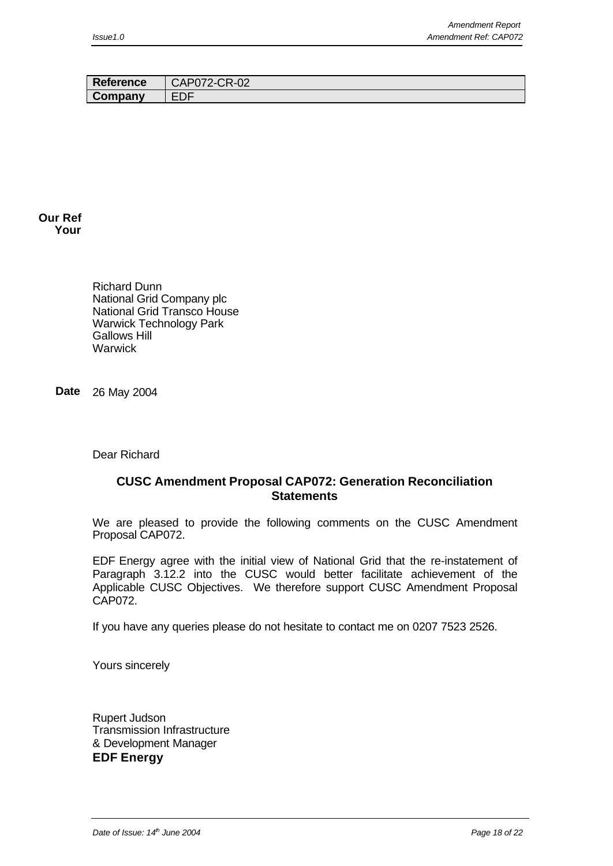| <b>Reference</b> | CAP072-CR-02 |
|------------------|--------------|
| Company          | EDF          |

#### **Our Ref Your**

Richard Dunn National Grid Company plc National Grid Transco House Warwick Technology Park Gallows Hill **Warwick** 

**Date** 26 May 2004

Dear Richard

#### **CUSC Amendment Proposal CAP072: Generation Reconciliation Statements**

We are pleased to provide the following comments on the CUSC Amendment Proposal CAP072.

EDF Energy agree with the initial view of National Grid that the re-instatement of Paragraph 3.12.2 into the CUSC would better facilitate achievement of the Applicable CUSC Objectives. We therefore support CUSC Amendment Proposal CAP072.

If you have any queries please do not hesitate to contact me on 0207 7523 2526.

Yours sincerely

Rupert Judson Transmission Infrastructure & Development Manager **EDF Energy**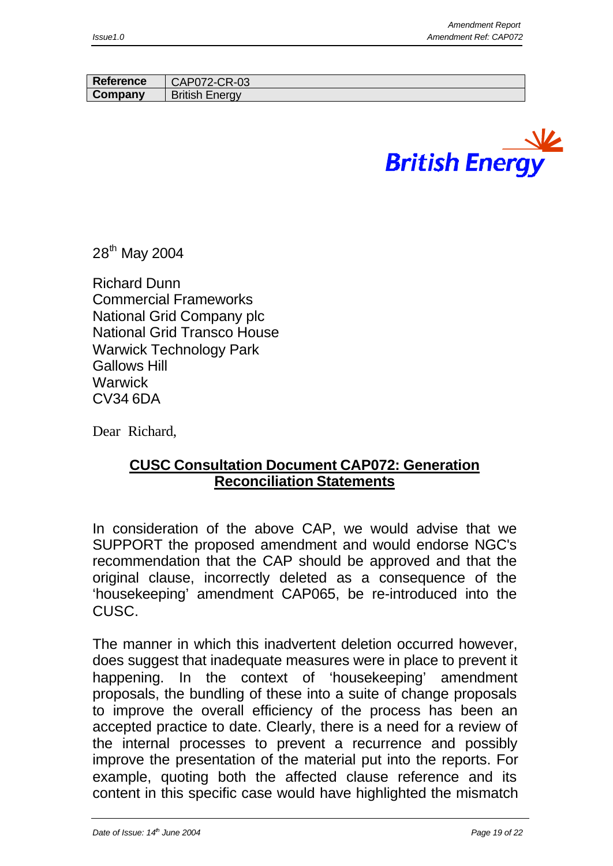| <b>Reference</b> | CAP072-CR-03          |
|------------------|-----------------------|
| Company          | <b>British Energy</b> |
|                  |                       |



28<sup>th</sup> May 2004

Richard Dunn Commercial Frameworks National Grid Company plc National Grid Transco House Warwick Technology Park Gallows Hill Warwick CV34 6DA

Dear Richard,

## **CUSC Consultation Document CAP072: Generation Reconciliation Statements**

In consideration of the above CAP, we would advise that we SUPPORT the proposed amendment and would endorse NGC's recommendation that the CAP should be approved and that the original clause, incorrectly deleted as a consequence of the 'housekeeping' amendment CAP065, be re-introduced into the CUSC.

The manner in which this inadvertent deletion occurred however, does suggest that inadequate measures were in place to prevent it happening. In the context of 'housekeeping' amendment proposals, the bundling of these into a suite of change proposals to improve the overall efficiency of the process has been an accepted practice to date. Clearly, there is a need for a review of the internal processes to prevent a recurrence and possibly improve the presentation of the material put into the reports. For example, quoting both the affected clause reference and its content in this specific case would have highlighted the mismatch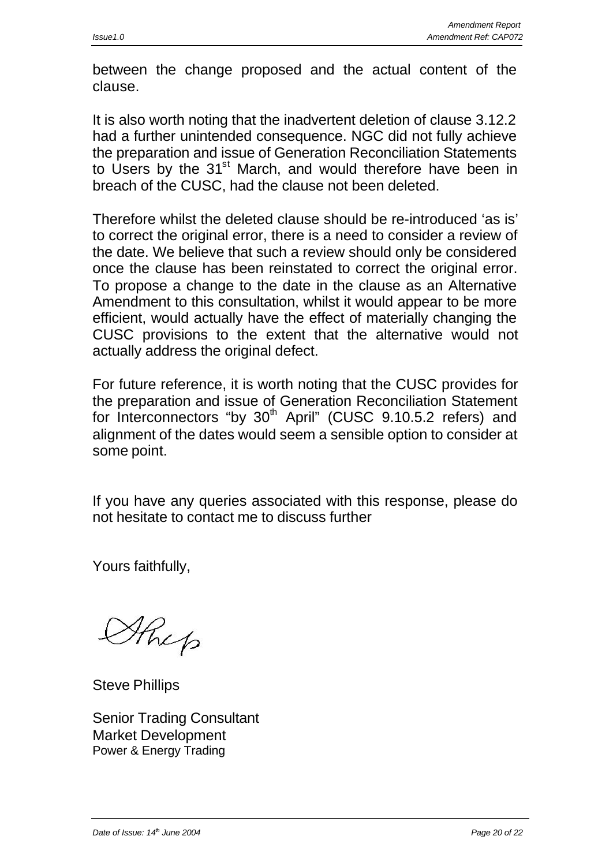between the change proposed and the actual content of the clause.

It is also worth noting that the inadvertent deletion of clause 3.12.2 had a further unintended consequence. NGC did not fully achieve the preparation and issue of Generation Reconciliation Statements to Users by the 31<sup>st</sup> March, and would therefore have been in breach of the CUSC, had the clause not been deleted.

Therefore whilst the deleted clause should be re-introduced 'as is' to correct the original error, there is a need to consider a review of the date. We believe that such a review should only be considered once the clause has been reinstated to correct the original error. To propose a change to the date in the clause as an Alternative Amendment to this consultation, whilst it would appear to be more efficient, would actually have the effect of materially changing the CUSC provisions to the extent that the alternative would not actually address the original defect.

For future reference, it is worth noting that the CUSC provides for the preparation and issue of Generation Reconciliation Statement for Interconnectors "by 30<sup>th</sup> April" (CUSC 9.10.5.2 refers) and alignment of the dates would seem a sensible option to consider at some point.

If you have any queries associated with this response, please do not hesitate to contact me to discuss further

Yours faithfully,

Sthep

Steve Phillips

Senior Trading Consultant Market Development Power & Energy Trading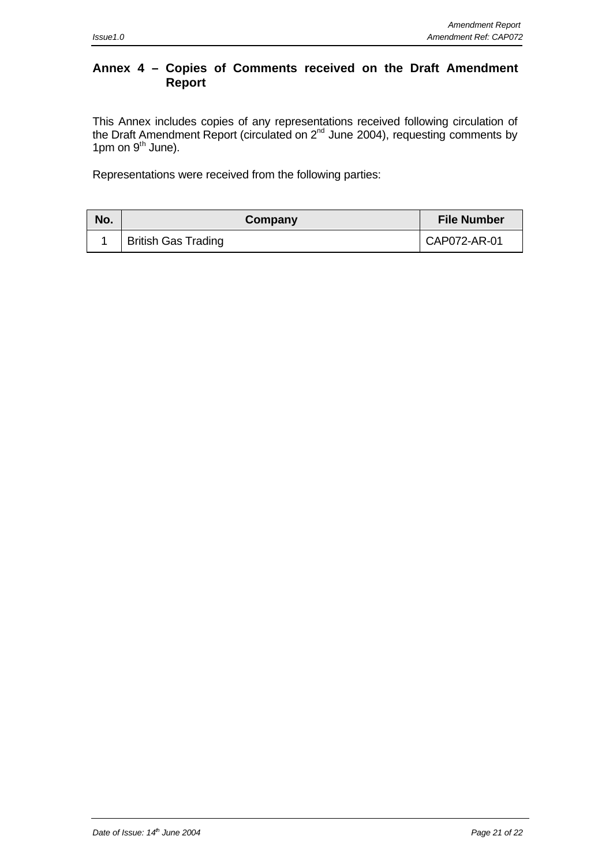### **Annex 4 – Copies of Comments received on the Draft Amendment Report**

This Annex includes copies of any representations received following circulation of the Draft Amendment Report (circulated on  $2^{nd}$  June 2004), requesting comments by  $1pm$  on  $9<sup>th</sup>$  June).

Representations were received from the following parties:

| No. | Company                    | <b>File Number</b> |  |
|-----|----------------------------|--------------------|--|
|     | <b>British Gas Trading</b> | CAP072-AR-01       |  |